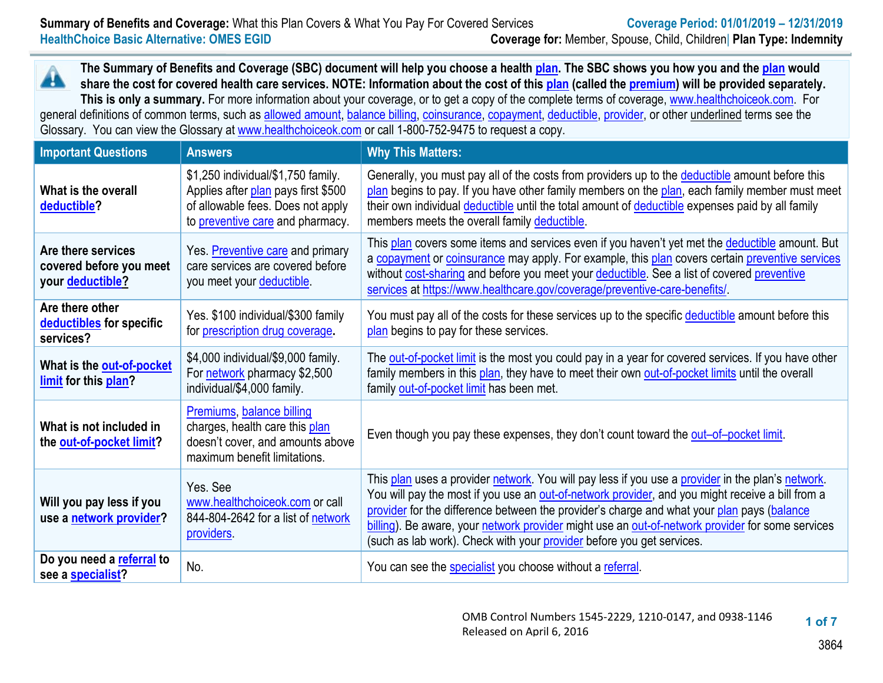**The Summary of Benefits and Coverage (SBC) document will help you choose a health [plan.](https://www.healthcare.gov/sbc-glossary/#plan) The SBC shows you how you and th[e plan](https://www.healthcare.gov/sbc-glossary/#plan) would** A **share the cost for covered health care services. NOTE: Information about the cost of this [plan](https://www.healthcare.gov/sbc-glossary/#plan) (called the [premium\)](https://www.healthcare.gov/sbc-glossary/#premium) will be provided separately. This is only a summary.** For more information about your coverage, or to get a copy of the complete terms of coverage[, www.healthchoiceok.com.](http://www.healthchoiceok.com/) For general definitions of common terms, such as [allowed amount,](https://www.healthcare.gov/sbc-glossary/#allowed-amount) [balance billing,](https://www.healthcare.gov/sbc-glossary/#balance-billing) [coinsurance,](https://www.healthcare.gov/sbc-glossary/#coinsurance) [copayment,](https://www.healthcare.gov/sbc-glossary/#copayment) [deductible,](https://www.healthcare.gov/sbc-glossary/#deductible) [provider,](https://www.healthcare.gov/sbc-glossary/#provider) or other underlined terms see the Glossary. You can view the Glossary at [www.healthchoiceok.com](https://www.ok.gov/sib/documents/uniform-glossary-final.pdf) or call 1-800-752-9475 to request a copy.

| <b>Important Questions</b>                                        | <b>Answers</b>                                                                                                                                     | <b>Why This Matters:</b>                                                                                                                                                                                                                                                                                                                                                                                                                                                         |
|-------------------------------------------------------------------|----------------------------------------------------------------------------------------------------------------------------------------------------|----------------------------------------------------------------------------------------------------------------------------------------------------------------------------------------------------------------------------------------------------------------------------------------------------------------------------------------------------------------------------------------------------------------------------------------------------------------------------------|
| What is the overall<br>deductible?                                | \$1,250 individual/\$1,750 family.<br>Applies after plan pays first \$500<br>of allowable fees. Does not apply<br>to preventive care and pharmacy. | Generally, you must pay all of the costs from providers up to the deductible amount before this<br>plan begins to pay. If you have other family members on the plan, each family member must meet<br>their own individual deductible until the total amount of deductible expenses paid by all family<br>members meets the overall family deductible.                                                                                                                            |
| Are there services<br>covered before you meet<br>your deductible? | Yes. Preventive care and primary<br>care services are covered before<br>you meet your deductible.                                                  | This plan covers some items and services even if you haven't yet met the deductible amount. But<br>a copayment or coinsurance may apply. For example, this plan covers certain preventive services<br>without cost-sharing and before you meet your deductible. See a list of covered preventive<br>services at https://www.healthcare.gov/coverage/preventive-care-benefits/                                                                                                    |
| Are there other<br>deductibles for specific<br>services?          | Yes. \$100 individual/\$300 family<br>for prescription drug coverage.                                                                              | You must pay all of the costs for these services up to the specific deductible amount before this<br>plan begins to pay for these services.                                                                                                                                                                                                                                                                                                                                      |
| What is the out-of-pocket<br>limit for this plan?                 | \$4,000 individual/\$9,000 family.<br>For network pharmacy \$2,500<br>individual/\$4,000 family.                                                   | The out-of-pocket limit is the most you could pay in a year for covered services. If you have other<br>family members in this plan, they have to meet their own out-of-pocket limits until the overall<br>family out-of-pocket limit has been met.                                                                                                                                                                                                                               |
| What is not included in<br>the out-of-pocket limit?               | Premiums, balance billing<br>charges, health care this plan<br>doesn't cover, and amounts above<br>maximum benefit limitations.                    | Even though you pay these expenses, they don't count toward the out-of-pocket limit.                                                                                                                                                                                                                                                                                                                                                                                             |
| Will you pay less if you<br>use a network provider?               | Yes. See<br>www.healthchoiceok.com or call<br>844-804-2642 for a list of network<br>providers.                                                     | This plan uses a provider network. You will pay less if you use a provider in the plan's network.<br>You will pay the most if you use an out-of-network provider, and you might receive a bill from a<br>provider for the difference between the provider's charge and what your plan pays (balance<br>billing). Be aware, your network provider might use an out-of-network provider for some services<br>(such as lab work). Check with your provider before you get services. |
| Do you need a referral to<br>see a <b>specialist?</b>             | No.                                                                                                                                                | You can see the specialist you choose without a referral.                                                                                                                                                                                                                                                                                                                                                                                                                        |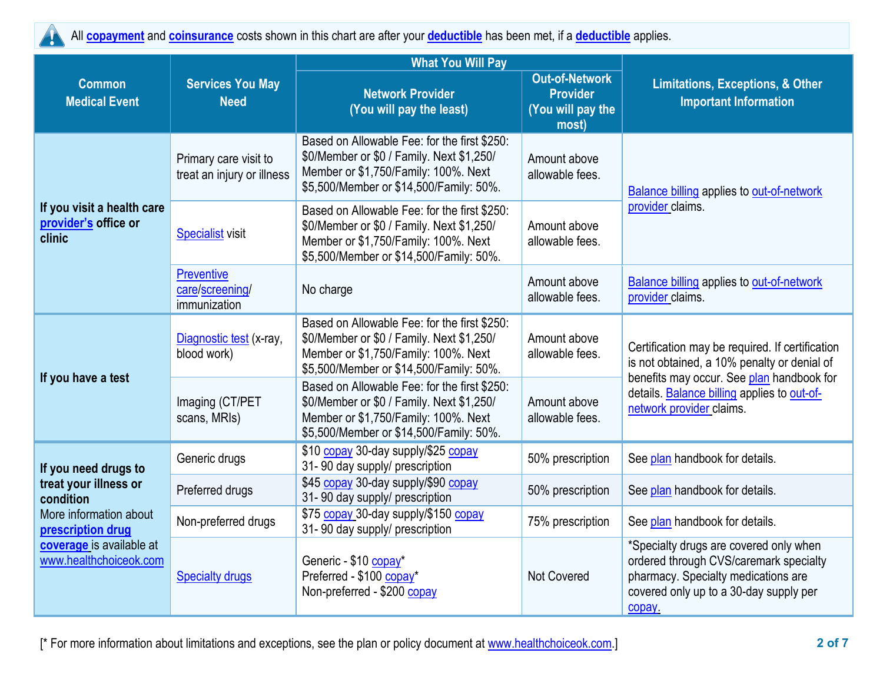All **[copayment](https://www.healthcare.gov/sbc-glossary/#copayment)** and **[coinsurance](https://www.healthcare.gov/sbc-glossary/#coinsurance)** costs shown in this chart are after your **[deductible](https://www.healthcare.gov/sbc-glossary/#deductible)** has been met, if a **[deductible](https://www.healthcare.gov/sbc-glossary/#deductible)** applies. T

|                                                              |                                                     | <b>What You Will Pay</b>                                                                                                                                                     |                                                                        |                                                                                                                                                                            |  |
|--------------------------------------------------------------|-----------------------------------------------------|------------------------------------------------------------------------------------------------------------------------------------------------------------------------------|------------------------------------------------------------------------|----------------------------------------------------------------------------------------------------------------------------------------------------------------------------|--|
| <b>Common</b><br><b>Medical Event</b>                        | <b>Services You May</b><br><b>Need</b>              | <b>Network Provider</b><br>(You will pay the least)                                                                                                                          | <b>Out-of-Network</b><br><b>Provider</b><br>(You will pay the<br>most) | <b>Limitations, Exceptions, &amp; Other</b><br><b>Important Information</b>                                                                                                |  |
|                                                              | Primary care visit to<br>treat an injury or illness | Based on Allowable Fee: for the first \$250:<br>\$0/Member or \$0 / Family. Next \$1,250/<br>Member or \$1,750/Family: 100%. Next<br>\$5,500/Member or \$14,500/Family: 50%. | Amount above<br>allowable fees.                                        | <b>Balance billing applies to out-of-network</b>                                                                                                                           |  |
| If you visit a health care<br>provider's office or<br>clinic | <b>Specialist visit</b>                             | Based on Allowable Fee: for the first \$250:<br>\$0/Member or \$0 / Family. Next \$1,250/<br>Member or \$1,750/Family: 100%. Next<br>\$5,500/Member or \$14,500/Family: 50%. | Amount above<br>allowable fees.                                        | provider claims.                                                                                                                                                           |  |
|                                                              | Preventive<br>care/screening/<br>immunization       | No charge                                                                                                                                                                    | Amount above<br>allowable fees.                                        | Balance billing applies to out-of-network<br>provider claims.                                                                                                              |  |
|                                                              | Diagnostic test (x-ray,<br>blood work)              | Based on Allowable Fee: for the first \$250:<br>\$0/Member or \$0 / Family. Next \$1,250/<br>Member or \$1,750/Family: 100%. Next<br>\$5,500/Member or \$14,500/Family: 50%. | Amount above<br>allowable fees.                                        | Certification may be required. If certification<br>is not obtained, a 10% penalty or denial of                                                                             |  |
| If you have a test                                           | Imaging (CT/PET<br>scans, MRIs)                     | Based on Allowable Fee: for the first \$250:<br>\$0/Member or \$0 / Family. Next \$1,250/<br>Member or \$1,750/Family: 100%. Next<br>\$5,500/Member or \$14,500/Family: 50%. | Amount above<br>allowable fees.                                        | benefits may occur. See plan handbook for<br>details. Balance billing applies to out-of-<br>network provider claims.                                                       |  |
| If you need drugs to                                         | Generic drugs                                       | \$10 copay 30-day supply/\$25 copay<br>31-90 day supply/ prescription                                                                                                        | 50% prescription                                                       | See plan handbook for details.                                                                                                                                             |  |
| treat your illness or<br>condition                           | Preferred drugs                                     | \$45 copay 30-day supply/\$90 copay<br>31-90 day supply/ prescription                                                                                                        | 50% prescription                                                       | See plan handbook for details.                                                                                                                                             |  |
| More information about<br>prescription drug                  | Non-preferred drugs                                 | \$75 copay 30-day supply/\$150 copay<br>31-90 day supply/ prescription                                                                                                       | 75% prescription                                                       | See plan handbook for details.                                                                                                                                             |  |
| coverage is available at<br>www.healthchoiceok.com           | <b>Specialty drugs</b>                              | Generic - \$10 copay*<br>Preferred - \$100 copay*<br>Non-preferred - \$200 copay                                                                                             | <b>Not Covered</b>                                                     | *Specialty drugs are covered only when<br>ordered through CVS/caremark specialty<br>pharmacy. Specialty medications are<br>covered only up to a 30-day supply per<br>copay |  |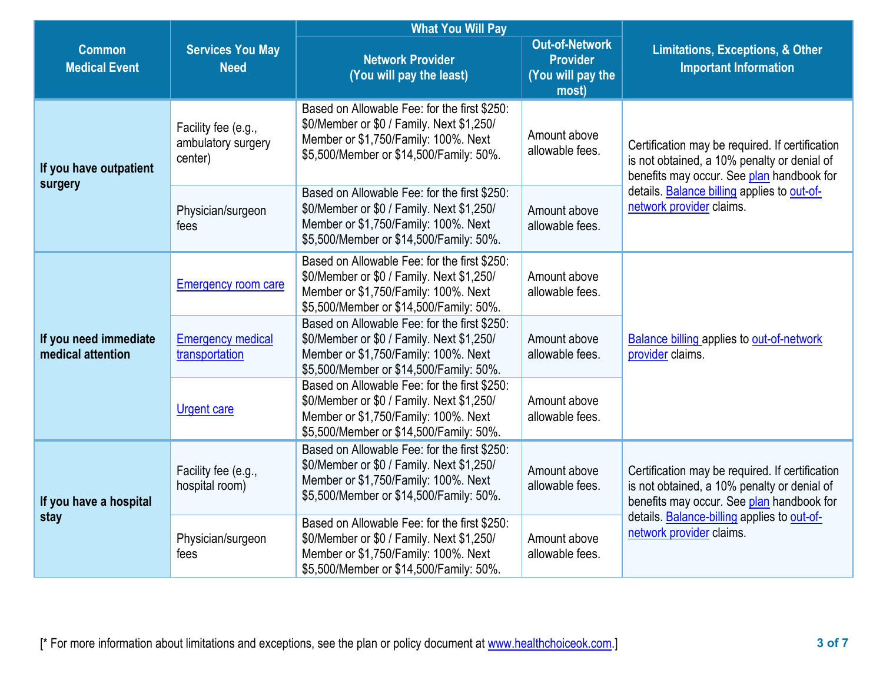|                                            |                                                      | <b>What You Will Pay</b>                                                                                                                                                                                        | <b>Limitations, Exceptions, &amp; Other</b><br><b>Important Information</b> |                                                                                                                                             |  |
|--------------------------------------------|------------------------------------------------------|-----------------------------------------------------------------------------------------------------------------------------------------------------------------------------------------------------------------|-----------------------------------------------------------------------------|---------------------------------------------------------------------------------------------------------------------------------------------|--|
| <b>Common</b><br><b>Medical Event</b>      | <b>Services You May</b><br><b>Need</b>               | <b>Out-of-Network</b><br><b>Network Provider</b><br><b>Provider</b><br>(You will pay the least)<br>(You will pay the<br>most)                                                                                   |                                                                             |                                                                                                                                             |  |
| If you have outpatient<br>surgery          | Facility fee (e.g.,<br>ambulatory surgery<br>center) | Based on Allowable Fee: for the first \$250:<br>\$0/Member or \$0 / Family. Next \$1,250/<br>Amount above<br>Member or \$1,750/Family: 100%. Next<br>allowable fees.<br>\$5,500/Member or \$14,500/Family: 50%. |                                                                             | Certification may be required. If certification<br>is not obtained, a 10% penalty or denial of<br>benefits may occur. See plan handbook for |  |
|                                            | Physician/surgeon<br>fees                            | Based on Allowable Fee: for the first \$250:<br>\$0/Member or \$0 / Family. Next \$1,250/<br>Member or \$1,750/Family: 100%. Next<br>\$5,500/Member or \$14,500/Family: 50%.                                    | Amount above<br>allowable fees.                                             | details. Balance billing applies to out-of-<br>network provider claims.                                                                     |  |
|                                            | <b>Emergency room care</b>                           | Based on Allowable Fee: for the first \$250:<br>\$0/Member or \$0 / Family. Next \$1,250/<br>Member or \$1,750/Family: 100%. Next<br>\$5,500/Member or \$14,500/Family: 50%.                                    | Amount above<br>allowable fees.                                             |                                                                                                                                             |  |
| If you need immediate<br>medical attention | <b>Emergency medical</b><br>transportation           | Based on Allowable Fee: for the first \$250:<br>\$0/Member or \$0 / Family. Next \$1,250/<br>Member or \$1,750/Family: 100%. Next<br>\$5,500/Member or \$14,500/Family: 50%.                                    | Amount above<br>allowable fees.                                             | <b>Balance billing applies to out-of-network</b><br>provider claims.                                                                        |  |
| If you have a hospital                     | <b>Urgent care</b>                                   | Based on Allowable Fee: for the first \$250:<br>\$0/Member or \$0 / Family. Next \$1,250/<br>Member or \$1,750/Family: 100%. Next<br>\$5,500/Member or \$14,500/Family: 50%.                                    | Amount above<br>allowable fees.                                             |                                                                                                                                             |  |
|                                            | Facility fee (e.g.,<br>hospital room)                | Based on Allowable Fee: for the first \$250:<br>\$0/Member or \$0 / Family. Next \$1,250/<br>Member or \$1,750/Family: 100%. Next<br>\$5,500/Member or \$14,500/Family: 50%.                                    |                                                                             | Certification may be required. If certification<br>is not obtained, a 10% penalty or denial of<br>benefits may occur. See plan handbook for |  |
| stay                                       | Physician/surgeon<br>fees                            | Based on Allowable Fee: for the first \$250:<br>\$0/Member or \$0 / Family. Next \$1,250/<br>Member or \$1,750/Family: 100%. Next<br>\$5,500/Member or \$14,500/Family: 50%.                                    | Amount above<br>allowable fees.                                             | details. Balance-billing applies to out-of-<br>network provider claims.                                                                     |  |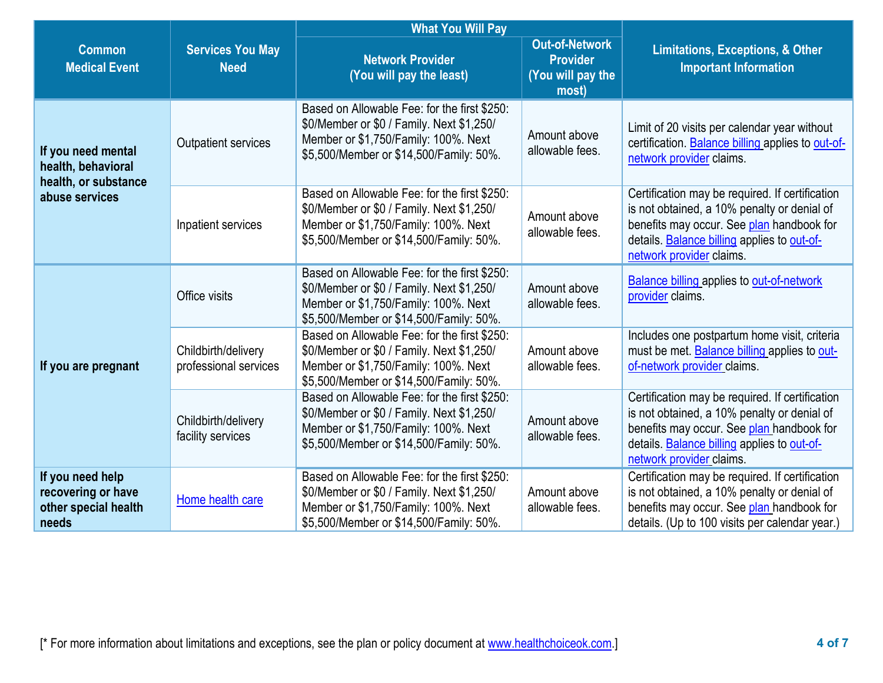|                                                                         |                                              | <b>What You Will Pay</b>                                                                                                                                                     |                                                                        |                                                                                                                                                                                                                        |
|-------------------------------------------------------------------------|----------------------------------------------|------------------------------------------------------------------------------------------------------------------------------------------------------------------------------|------------------------------------------------------------------------|------------------------------------------------------------------------------------------------------------------------------------------------------------------------------------------------------------------------|
| <b>Common</b><br><b>Medical Event</b>                                   | <b>Services You May</b><br><b>Need</b>       | <b>Network Provider</b><br>(You will pay the least)                                                                                                                          | <b>Out-of-Network</b><br><b>Provider</b><br>(You will pay the<br>most) | <b>Limitations, Exceptions, &amp; Other</b><br><b>Important Information</b>                                                                                                                                            |
| If you need mental<br>health, behavioral<br>health, or substance        | <b>Outpatient services</b>                   | Based on Allowable Fee: for the first \$250:<br>\$0/Member or \$0 / Family. Next \$1,250/<br>Member or \$1,750/Family: 100%. Next<br>\$5,500/Member or \$14,500/Family: 50%. | Amount above<br>allowable fees.                                        | Limit of 20 visits per calendar year without<br>certification. Balance billing applies to out-of-<br>network provider claims.                                                                                          |
| abuse services                                                          | Inpatient services                           | Based on Allowable Fee: for the first \$250:<br>\$0/Member or \$0 / Family. Next \$1,250/<br>Member or \$1,750/Family: 100%. Next<br>\$5,500/Member or \$14,500/Family: 50%. | Amount above<br>allowable fees.                                        | Certification may be required. If certification<br>is not obtained, a 10% penalty or denial of<br>benefits may occur. See plan handbook for<br>details. Balance billing applies to out-of-<br>network provider claims. |
|                                                                         | Office visits                                | Based on Allowable Fee: for the first \$250:<br>\$0/Member or \$0 / Family. Next \$1,250/<br>Member or \$1,750/Family: 100%. Next<br>\$5,500/Member or \$14,500/Family: 50%. | Amount above<br>allowable fees.                                        | <b>Balance billing applies to out-of-network</b><br>provider claims.                                                                                                                                                   |
| If you are pregnant                                                     | Childbirth/delivery<br>professional services | Based on Allowable Fee: for the first \$250:<br>\$0/Member or \$0 / Family. Next \$1,250/<br>Member or \$1,750/Family: 100%. Next<br>\$5,500/Member or \$14,500/Family: 50%. | Amount above<br>allowable fees.                                        | Includes one postpartum home visit, criteria<br>must be met. Balance billing applies to out-<br>of-network provider claims.                                                                                            |
|                                                                         | Childbirth/delivery<br>facility services     | Based on Allowable Fee: for the first \$250:<br>\$0/Member or \$0 / Family. Next \$1,250/<br>Member or \$1,750/Family: 100%. Next<br>\$5,500/Member or \$14,500/Family: 50%. | Amount above<br>allowable fees.                                        | Certification may be required. If certification<br>is not obtained, a 10% penalty or denial of<br>benefits may occur. See plan handbook for<br>details. Balance billing applies to out-of-<br>network provider claims. |
| If you need help<br>recovering or have<br>other special health<br>needs | Home health care                             | Based on Allowable Fee: for the first \$250:<br>\$0/Member or \$0 / Family. Next \$1,250/<br>Member or \$1,750/Family: 100%. Next<br>\$5,500/Member or \$14,500/Family: 50%. | Amount above<br>allowable fees.                                        | Certification may be required. If certification<br>is not obtained, a 10% penalty or denial of<br>benefits may occur. See plan handbook for<br>details. (Up to 100 visits per calendar year.)                          |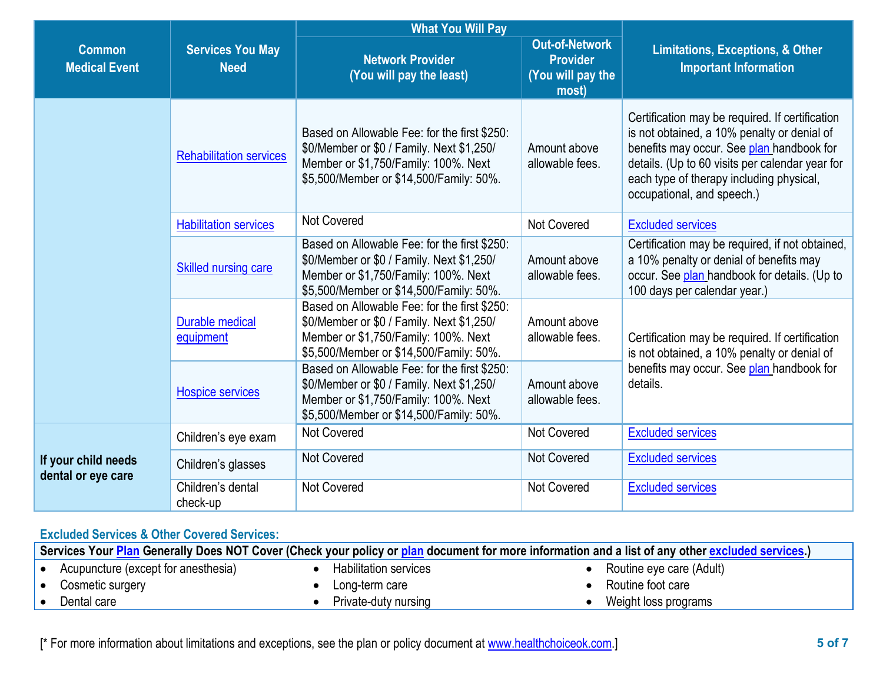|                                           |                                        | <b>What You Will Pay</b>                                                                                                                                                     |                                                                        |                                                                                                                                                                                                                                                                          |
|-------------------------------------------|----------------------------------------|------------------------------------------------------------------------------------------------------------------------------------------------------------------------------|------------------------------------------------------------------------|--------------------------------------------------------------------------------------------------------------------------------------------------------------------------------------------------------------------------------------------------------------------------|
| <b>Common</b><br><b>Medical Event</b>     | <b>Services You May</b><br><b>Need</b> | <b>Network Provider</b><br>(You will pay the least)                                                                                                                          | <b>Out-of-Network</b><br><b>Provider</b><br>(You will pay the<br>most) | <b>Limitations, Exceptions, &amp; Other</b><br><b>Important Information</b>                                                                                                                                                                                              |
|                                           | <b>Rehabilitation services</b>         | Based on Allowable Fee: for the first \$250:<br>\$0/Member or \$0 / Family. Next \$1,250/<br>Member or \$1,750/Family: 100%. Next<br>\$5,500/Member or \$14,500/Family: 50%. | Amount above<br>allowable fees.                                        | Certification may be required. If certification<br>is not obtained, a 10% penalty or denial of<br>benefits may occur. See plan handbook for<br>details. (Up to 60 visits per calendar year for<br>each type of therapy including physical,<br>occupational, and speech.) |
|                                           | <b>Habilitation services</b>           | Not Covered                                                                                                                                                                  | <b>Not Covered</b>                                                     | <b>Excluded services</b>                                                                                                                                                                                                                                                 |
|                                           | <b>Skilled nursing care</b>            | Based on Allowable Fee: for the first \$250:<br>\$0/Member or \$0 / Family. Next \$1,250/<br>Member or \$1,750/Family: 100%. Next<br>\$5,500/Member or \$14,500/Family: 50%. | Amount above<br>allowable fees.                                        | Certification may be required, if not obtained,<br>a 10% penalty or denial of benefits may<br>occur. See plan handbook for details. (Up to<br>100 days per calendar year.)                                                                                               |
|                                           | <b>Durable medical</b><br>equipment    | Based on Allowable Fee: for the first \$250:<br>\$0/Member or \$0 / Family. Next \$1,250/<br>Member or \$1,750/Family: 100%. Next<br>\$5,500/Member or \$14,500/Family: 50%. | Amount above<br>allowable fees.                                        | Certification may be required. If certification<br>is not obtained, a 10% penalty or denial of                                                                                                                                                                           |
|                                           | <b>Hospice services</b>                | Based on Allowable Fee: for the first \$250:<br>\$0/Member or \$0 / Family. Next \$1,250/<br>Member or \$1,750/Family: 100%. Next<br>\$5,500/Member or \$14,500/Family: 50%. | Amount above<br>allowable fees.                                        | benefits may occur. See plan handbook for<br>details.                                                                                                                                                                                                                    |
|                                           | Children's eye exam                    | Not Covered                                                                                                                                                                  | <b>Not Covered</b>                                                     | <b>Excluded services</b>                                                                                                                                                                                                                                                 |
| If your child needs<br>dental or eye care | Children's glasses                     | <b>Not Covered</b>                                                                                                                                                           | <b>Not Covered</b>                                                     | <b>Excluded services</b>                                                                                                                                                                                                                                                 |
|                                           | Children's dental<br>check-up          | Not Covered                                                                                                                                                                  | <b>Not Covered</b>                                                     | <b>Excluded services</b>                                                                                                                                                                                                                                                 |

## **Excluded Services & Other Covered Services:**

|                                     | Services Your Plan Generally Does NOT Cover (Check your policy or plan document for more information and a list of any other excluded services.) |                          |
|-------------------------------------|--------------------------------------------------------------------------------------------------------------------------------------------------|--------------------------|
| Acupuncture (except for anesthesia) | <b>Habilitation services</b>                                                                                                                     | Routine eye care (Adult) |
| Cosmetic surgery                    | Long-term care                                                                                                                                   | Routine foot care        |
| Dental care                         | Private-duty nursing                                                                                                                             | Weight loss programs     |
|                                     |                                                                                                                                                  |                          |

[\* For more information about limitations and exceptions, see the plan or policy document at [www.healthchoiceok.com.](http://www.healthchoiceok.com/)] **5 of 7**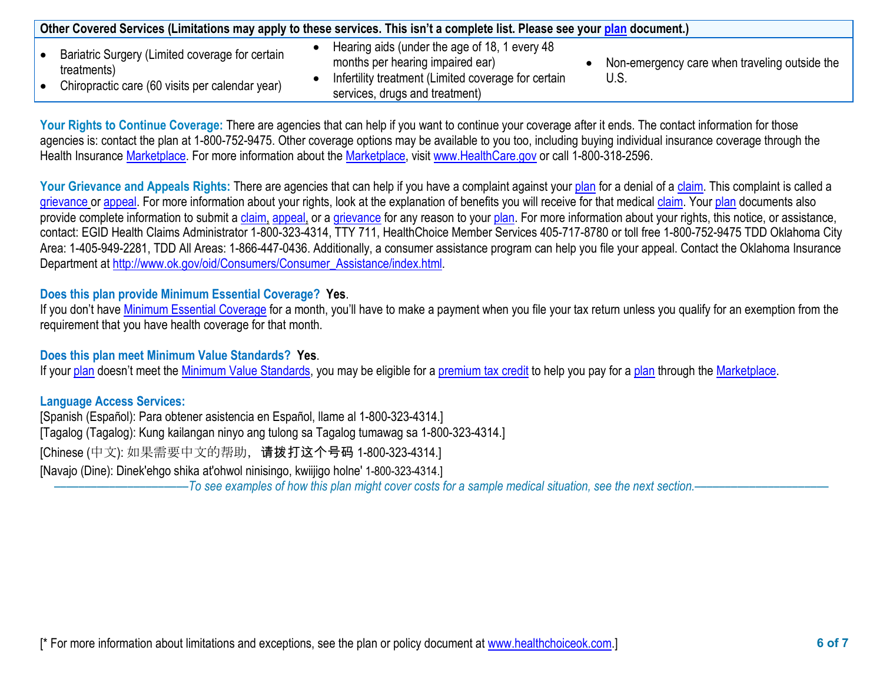|                                                                | Other Covered Services (Limitations may apply to these services. This isn't a complete list. Please see your plan document.) |                                               |
|----------------------------------------------------------------|------------------------------------------------------------------------------------------------------------------------------|-----------------------------------------------|
| Bariatric Surgery (Limited coverage for certain<br>treatments) | Hearing aids (under the age of 18, 1 every 48<br>months per hearing impaired ear)                                            | Non-emergency care when traveling outside the |
| Chiropractic care (60 visits per calendar year)                | Infertility treatment (Limited coverage for certain<br>services, drugs and treatment)                                        | U.S.                                          |

Your Rights to Continue Coverage: There are agencies that can help if you want to continue your coverage after it ends. The contact information for those agencies is: contact the plan at 1-800-752-9475. Other coverage options may be available to you too, including buying individual insurance coverage through the Health Insurance [Marketplace.](https://www.healthcare.gov/sbc-glossary/#marketplace) For more information about the [Marketplace,](https://www.healthcare.gov/sbc-glossary/#marketplace) visit [www.HealthCare.gov](http://www.healthcare.gov/) or call 1-800-318-2596.

Your Grievance and Appeals Rights: There are agencies that can help if you have a complaint against you[r plan](https://www.healthcare.gov/sbc-glossary/#plan) for a denial of a [claim.](https://www.healthcare.gov/sbc-glossary/#claim) This complaint is called a [grievance](https://www.healthcare.gov/sbc-glossary/#grievance) or [appeal.](https://www.healthcare.gov/sbc-glossary/#appeal) For more information about your rights, look at the explanation of benefits you will receive for that medica[l claim.](https://www.healthcare.gov/sbc-glossary/#claim) Your [plan](https://www.healthcare.gov/sbc-glossary/#plan) documents also provide complete information to submit a [claim,](https://www.healthcare.gov/sbc-glossary/#claim) [appeal,](https://www.healthcare.gov/sbc-glossary/#appeal) or a [grievance](https://www.healthcare.gov/sbc-glossary/#grievance) for any reason to your [plan.](https://www.healthcare.gov/sbc-glossary/#plan) For more information about your rights, this notice, or assistance, contact: EGID Health Claims Administrator 1-800-323-4314, TTY 711, HealthChoice Member Services 405-717-8780 or toll free 1-800-752-9475 TDD Oklahoma City Area: 1-405-949-2281, TDD All Areas: 1-866-447-0436. Additionally, a consumer assistance program can help you file your appeal. Contact the Oklahoma Insurance Department at [http://www.ok.gov/oid/Consumers/Consumer\\_Assistance/index.html.](http://www.ok.gov/oid/Consumers/Consumer_Assistance/index.html)

## **Does this plan provide Minimum Essential Coverage? Yes**.

If you don't have [Minimum Essential Coverage](https://www.healthcare.gov/sbc-glossary/#minimum-essential-coverage) for a month, you'll have to make a payment when you file your tax return unless you qualify for an exemption from the requirement that you have health coverage for that month.

## **Does this plan meet Minimum Value Standards? Yes**.

If your [plan](https://www.healthcare.gov/sbc-glossary/#plan) doesn't meet the [Minimum Value Standards,](https://www.healthcare.gov/sbc-glossary/#minimum-value-standard) you may be eligible for a [premium tax credit](https://www.healthcare.gov/sbc-glossary/#premium-tax-credits) to help you pay for a plan through the [Marketplace.](https://www.healthcare.gov/sbc-glossary/#marketplace)

## **Language Access Services:**

[Spanish (Español): Para obtener asistencia en Español, llame al 1-800-323-4314.] [Tagalog (Tagalog): Kung kailangan ninyo ang tulong sa Tagalog tumawag sa 1-800-323-4314.] [Chinese (中文): 如果需要中文的帮助,请拨打这个号码 1-800-323-4314.] [Navajo (Dine): Dinek'ehgo shika at'ohwol ninisingo, kwiijigo holne' 1-800-323-4314.]

––––––––––––––––––––––*To see examples of how this plan might cover costs for a sample medical situation, see the next section.–––––––––––*–––––––––––